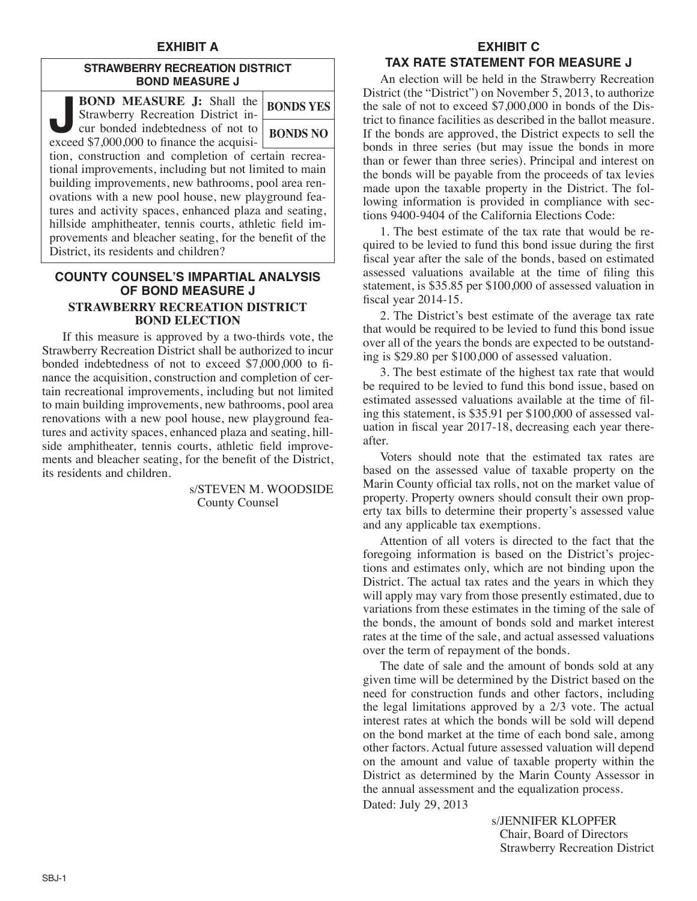## **EXHIBIT A**

### **STRAWBERRY RECREATION DISTRICT BOND MEASURE J**

| <b>BOND MEASURE J:</b> Shall the<br>Strawberry Recreation District in-          | <b>BONDS YES</b> |
|---------------------------------------------------------------------------------|------------------|
| cur bonded indebtedness of not to<br>exceed \$7,000,000 to finance the acquisi- | <b>BONDS NO</b>  |
| tion, construction and completion of certain recrea-                            |                  |
| tional improvements, including but not limited to main                          |                  |
| building improvements, new bathrooms, pool area ren-                            |                  |
| ovations with a new pool house, new playground fea-                             |                  |
| tures and activity spaces, enhanced plaza and seating,                          |                  |
| hillside amphitheater, tennis courts, athletic field im-                        |                  |
| provements and bleacher seating, for the benefit of the                         |                  |
| District, its residents and children?                                           |                  |
|                                                                                 |                  |

## **COUNTY COUNSEL'S IMPARTIAL ANALYSIS OF BOND MEASURE J STRAWBERRY RECREATION DISTRICT BOND ELECTION**

 If this measure is approved by a two-thirds vote, the Strawberry Recreation District shall be authorized to incur bonded indebtedness of not to exceed \$7,000,000 to finance the acquisition, construction and completion of certain recreational improvements, including but not limited to main building improvements, new bathrooms, pool area renovations with a new pool house, new playground features and activity spaces, enhanced plaza and seating, hillside amphitheater, tennis courts, athletic field improvements and bleacher seating, for the benefit of the District, its residents and children.

> s/STEVEN M. WOODSIDE County Counsel

#### **EXHIBIT C**

### **TAX RATE STATEMENT FOR MEASURE J**

 An election will be held in the Strawberry Recreation District (the "District") on November 5, 2013, to authorize the sale of not to exceed \$7,000,000 in bonds of the District to finance facilities as described in the ballot measure. If the bonds are approved, the District expects to sell the bonds in three series (but may issue the bonds in more than or fewer than three series). Principal and interest on the bonds will be payable from the proceeds of tax levies made upon the taxable property in the District. The following information is provided in compliance with sections 9400-9404 of the California Elections Code:

 1. The best estimate of the tax rate that would be required to be levied to fund this bond issue during the first fiscal year after the sale of the bonds, based on estimated assessed valuations available at the time of filing this statement, is \$35.85 per \$100,000 of assessed valuation in fiscal year 2014-15.

 2. The District's best estimate of the average tax rate that would be required to be levied to fund this bond issue over all of the years the bonds are expected to be outstanding is \$29.80 per \$100,000 of assessed valuation.

 3. The best estimate of the highest tax rate that would be required to be levied to fund this bond issue, based on estimated assessed valuations available at the time of filing this statement, is \$35.91 per \$100,000 of assessed valuation in fiscal year 2017-18, decreasing each year thereafter.

 Voters should note that the estimated tax rates are based on the assessed value of taxable property on the Marin County official tax rolls, not on the market value of property. Property owners should consult their own property tax bills to determine their property's assessed value and any applicable tax exemptions.

 Attention of all voters is directed to the fact that the foregoing information is based on the District's projections and estimates only, which are not binding upon the District. The actual tax rates and the years in which they will apply may vary from those presently estimated, due to variations from these estimates in the timing of the sale of the bonds, the amount of bonds sold and market interest rates at the time of the sale, and actual assessed valuations over the term of repayment of the bonds.

 The date of sale and the amount of bonds sold at any given time will be determined by the District based on the need for construction funds and other factors, including the legal limitations approved by a 2/3 vote. The actual interest rates at which the bonds will be sold will depend on the bond market at the time of each bond sale, among other factors. Actual future assessed valuation will depend on the amount and value of taxable property within the District as determined by the Marin County Assessor in the annual assessment and the equalization process.

Dated: July 29, 2013

s/JENNIFER KLOPFER Chair, Board of Directors Strawberry Recreation District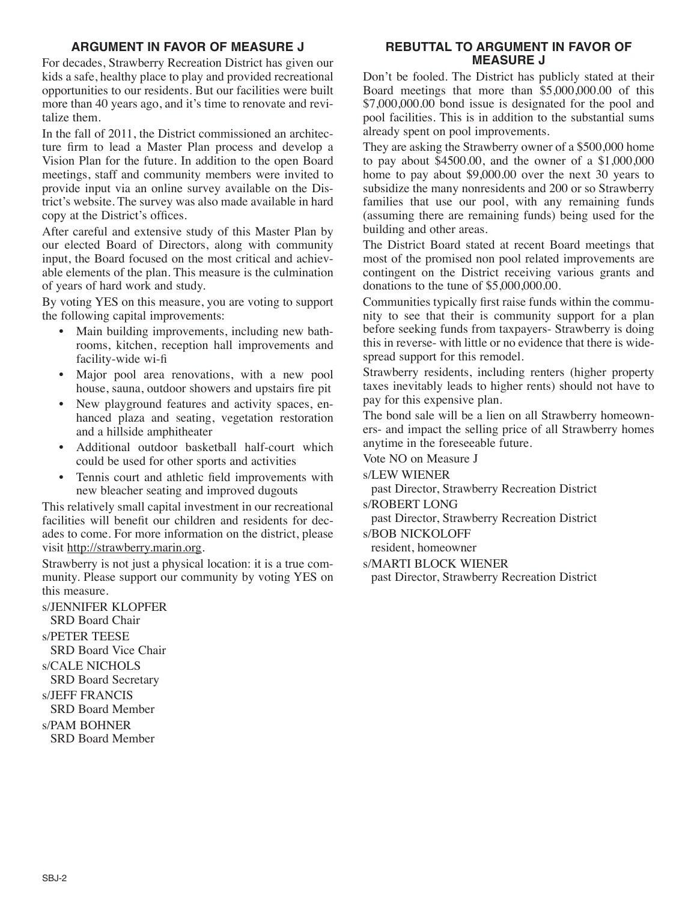## **ARGUMENT IN FAVOR OF MEASURE J**

For decades, Strawberry Recreation District has given our kids a safe, healthy place to play and provided recreational opportunities to our residents. But our facilities were built more than 40 years ago, and it's time to renovate and revitalize them.

In the fall of 2011, the District commissioned an architecture firm to lead a Master Plan process and develop a Vision Plan for the future. In addition to the open Board meetings, staff and community members were invited to provide input via an online survey available on the District's website. The survey was also made available in hard copy at the District's offices.

After careful and extensive study of this Master Plan by our elected Board of Directors, along with community input, the Board focused on the most critical and achievable elements of the plan. This measure is the culmination of years of hard work and study.

By voting YES on this measure, you are voting to support the following capital improvements:

- Main building improvements, including new bathrooms, kitchen, reception hall improvements and facility-wide wi-fi
- Major pool area renovations, with a new pool house, sauna, outdoor showers and upstairs fire pit
- New playground features and activity spaces, enhanced plaza and seating, vegetation restoration and a hillside amphitheater
- Additional outdoor basketball half-court which could be used for other sports and activities
- Tennis court and athletic field improvements with new bleacher seating and improved dugouts

This relatively small capital investment in our recreational facilities will benefit our children and residents for decades to come. For more information on the district, please visit http://strawberry.marin.org.

Strawberry is not just a physical location: it is a true community. Please support our community by voting YES on this measure.

s/JENNIFER KLOPFER SRD Board Chair s/PETER TEESE SRD Board Vice Chair s/CALE NICHOLS SRD Board Secretary s/JEFF FRANCIS SRD Board Member s/PAM BOHNER SRD Board Member

### **REBUTTAL TO ARGUMENT IN FAVOR OF MEASURE J**

Don't be fooled. The District has publicly stated at their Board meetings that more than \$5,000,000.00 of this \$7,000,000.00 bond issue is designated for the pool and pool facilities. This is in addition to the substantial sums already spent on pool improvements.

They are asking the Strawberry owner of a \$500,000 home to pay about  $\overline{$}4500.00$ , and the owner of a \$1,000,000 home to pay about \$9,000.00 over the next 30 years to subsidize the many nonresidents and 200 or so Strawberry families that use our pool, with any remaining funds (assuming there are remaining funds) being used for the building and other areas.

The District Board stated at recent Board meetings that most of the promised non pool related improvements are contingent on the District receiving various grants and donations to the tune of \$5,000,000.00.

Communities typically first raise funds within the community to see that their is community support for a plan before seeking funds from taxpayers- Strawberry is doing this in reverse- with little or no evidence that there is widespread support for this remodel.

Strawberry residents, including renters (higher property taxes inevitably leads to higher rents) should not have to pay for this expensive plan.

The bond sale will be a lien on all Strawberry homeowners- and impact the selling price of all Strawberry homes anytime in the foreseeable future.

Vote NO on Measure J

s/LEW WIENER

past Director, Strawberry Recreation District s/ROBERT LONG

past Director, Strawberry Recreation District

s/BOB NICKOLOFF

resident, homeowner

s/MARTI BLOCK WIENER

past Director, Strawberry Recreation District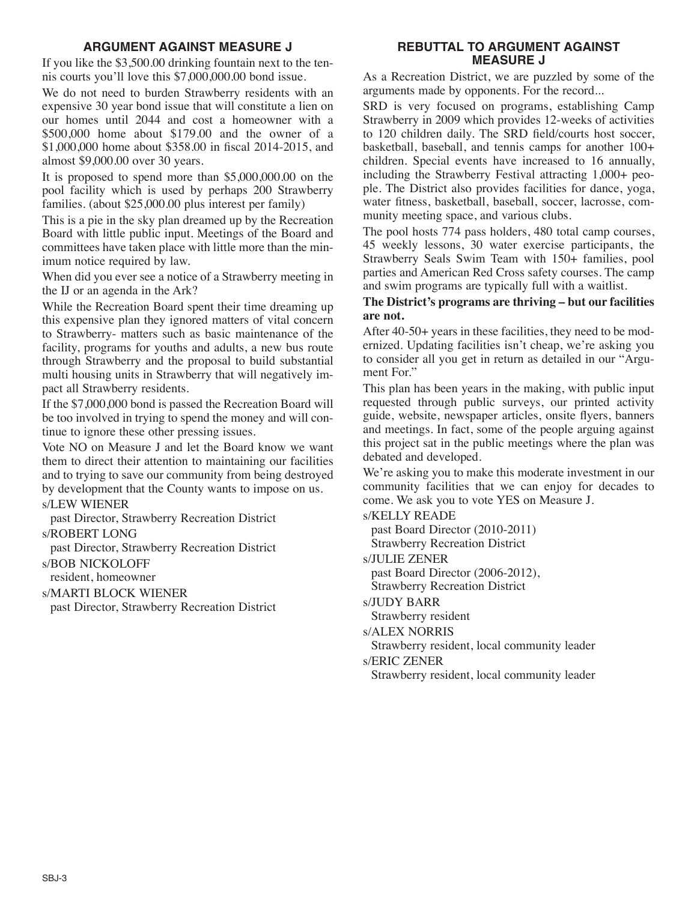## **ARGUMENT AGAINST MEASURE J**

If you like the \$3,500.00 drinking fountain next to the tennis courts you'll love this \$7,000,000.00 bond issue.

We do not need to burden Strawberry residents with an expensive 30 year bond issue that will constitute a lien on our homes until 2044 and cost a homeowner with a \$500,000 home about \$179.00 and the owner of a \$1,000,000 home about \$358.00 in fiscal 2014-2015, and almost \$9,000.00 over 30 years.

It is proposed to spend more than \$5,000,000.00 on the pool facility which is used by perhaps 200 Strawberry families. (about \$25,000.00 plus interest per family)

This is a pie in the sky plan dreamed up by the Recreation Board with little public input. Meetings of the Board and committees have taken place with little more than the minimum notice required by law.

When did you ever see a notice of a Strawberry meeting in the IJ or an agenda in the Ark?

While the Recreation Board spent their time dreaming up this expensive plan they ignored matters of vital concern to Strawberry- matters such as basic maintenance of the facility, programs for youths and adults, a new bus route through Strawberry and the proposal to build substantial multi housing units in Strawberry that will negatively impact all Strawberry residents.

If the \$7,000,000 bond is passed the Recreation Board will be too involved in trying to spend the money and will continue to ignore these other pressing issues.

Vote NO on Measure J and let the Board know we want them to direct their attention to maintaining our facilities and to trying to save our community from being destroyed by development that the County wants to impose on us.

## s/LEW WIENER

past Director, Strawberry Recreation District

#### s/ROBERT LONG

past Director, Strawberry Recreation District

s/BOB NICKOLOFF

resident, homeowner

#### s/MARTI BLOCK WIENER

past Director, Strawberry Recreation District

## **REBUTTAL TO ARGUMENT AGAINST MEASURE J**

As a Recreation District, we are puzzled by some of the arguments made by opponents. For the record...

SRD is very focused on programs, establishing Camp Strawberry in 2009 which provides 12-weeks of activities to 120 children daily. The SRD field/courts host soccer, basketball, baseball, and tennis camps for another 100+ children. Special events have increased to 16 annually, including the Strawberry Festival attracting 1,000+ people. The District also provides facilities for dance, yoga, water fitness, basketball, baseball, soccer, lacrosse, community meeting space, and various clubs.

The pool hosts 774 pass holders, 480 total camp courses, 45 weekly lessons, 30 water exercise participants, the Strawberry Seals Swim Team with 150+ families, pool parties and American Red Cross safety courses. The camp and swim programs are typically full with a waitlist.

### **The District's programs are thriving – but our facilities are not.**

After 40-50+ years in these facilities, they need to be modernized. Updating facilities isn't cheap, we're asking you to consider all you get in return as detailed in our "Argument For."

This plan has been years in the making, with public input requested through public surveys, our printed activity guide, website, newspaper articles, onsite flyers, banners and meetings. In fact, some of the people arguing against this project sat in the public meetings where the plan was debated and developed.

We're asking you to make this moderate investment in our community facilities that we can enjoy for decades to come. We ask you to vote YES on Measure J.

## s/KELLY READE

past Board Director (2010-2011)

Strawberry Recreation District

s/JULIE ZENER

past Board Director (2006-2012), Strawberry Recreation District

## s/JUDY BARR

Strawberry resident

s/ALEX NORRIS

Strawberry resident, local community leader

s/ERIC ZENER

Strawberry resident, local community leader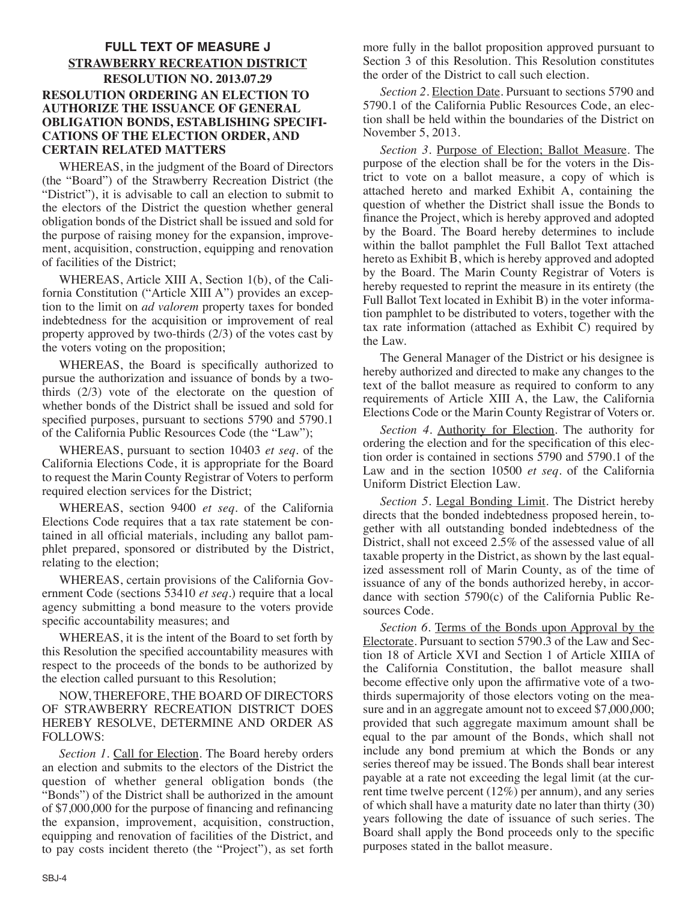## **FULL TEXT OF MEASURE J STRAWBERRY RECREATION DISTRICT RESOLUTION NO. 2013.07.29 RESOLUTION ORDERING AN ELECTION TO AUTHORIZE THE ISSUANCE OF GENERAL OBLIGATION BONDS, ESTABLISHING SPECIFI-CATIONS OF THE ELECTION ORDER, AND CERTAIN RELATED MATTERS**

 WHEREAS, in the judgment of the Board of Directors (the "Board") of the Strawberry Recreation District (the "District"), it is advisable to call an election to submit to the electors of the District the question whether general obligation bonds of the District shall be issued and sold for the purpose of raising money for the expansion, improvement, acquisition, construction, equipping and renovation of facilities of the District;

 WHEREAS, Article XIII A, Section 1(b), of the California Constitution ("Article XIII A") provides an exception to the limit on *ad valorem* property taxes for bonded indebtedness for the acquisition or improvement of real property approved by two-thirds (2/3) of the votes cast by the voters voting on the proposition;

 WHEREAS, the Board is specifically authorized to pursue the authorization and issuance of bonds by a twothirds (2/3) vote of the electorate on the question of whether bonds of the District shall be issued and sold for specified purposes, pursuant to sections 5790 and 5790.1 of the California Public Resources Code (the "Law");

 WHEREAS, pursuant to section 10403 *et seq.* of the California Elections Code, it is appropriate for the Board to request the Marin County Registrar of Voters to perform required election services for the District;

 WHEREAS, section 9400 *et seq.* of the California Elections Code requires that a tax rate statement be contained in all official materials, including any ballot pamphlet prepared, sponsored or distributed by the District, relating to the election;

 WHEREAS, certain provisions of the California Government Code (sections 53410 *et seq.*) require that a local agency submitting a bond measure to the voters provide specific accountability measures; and

 WHEREAS, it is the intent of the Board to set forth by this Resolution the specified accountability measures with respect to the proceeds of the bonds to be authorized by the election called pursuant to this Resolution;

 NOW, THEREFORE, THE BOARD OF DIRECTORS OF STRAWBERRY RECREATION DISTRICT DOES HEREBY RESOLVE, DETERMINE AND ORDER AS FOLLOWS:

 *Section 1.* Call for Election. The Board hereby orders an election and submits to the electors of the District the question of whether general obligation bonds (the "Bonds") of the District shall be authorized in the amount of \$7,000,000 for the purpose of financing and refinancing the expansion, improvement, acquisition, construction, equipping and renovation of facilities of the District, and to pay costs incident thereto (the "Project"), as set forth more fully in the ballot proposition approved pursuant to Section 3 of this Resolution. This Resolution constitutes the order of the District to call such election.

 *Section 2.* Election Date. Pursuant to sections 5790 and 5790.1 of the California Public Resources Code, an election shall be held within the boundaries of the District on November 5, 2013.

 *Section 3.* Purpose of Election; Ballot Measure. The purpose of the election shall be for the voters in the District to vote on a ballot measure, a copy of which is attached hereto and marked Exhibit A, containing the question of whether the District shall issue the Bonds to finance the Project, which is hereby approved and adopted by the Board. The Board hereby determines to include within the ballot pamphlet the Full Ballot Text attached hereto as Exhibit  $\vec{B}$ , which is hereby approved and adopted by the Board. The Marin County Registrar of Voters is hereby requested to reprint the measure in its entirety (the Full Ballot Text located in Exhibit B) in the voter information pamphlet to be distributed to voters, together with the tax rate information (attached as Exhibit C) required by the Law.

 The General Manager of the District or his designee is hereby authorized and directed to make any changes to the text of the ballot measure as required to conform to any requirements of Article XIII A, the Law, the California Elections Code or the Marin County Registrar of Voters or.

 *Section 4.* Authority for Election. The authority for ordering the election and for the specification of this election order is contained in sections 5790 and 5790.1 of the Law and in the section 10500 *et seq*. of the California Uniform District Election Law.

 *Section 5.* Legal Bonding Limit. The District hereby directs that the bonded indebtedness proposed herein, together with all outstanding bonded indebtedness of the District, shall not exceed 2.5% of the assessed value of all taxable property in the District, as shown by the last equalized assessment roll of Marin County, as of the time of issuance of any of the bonds authorized hereby, in accordance with section 5790(c) of the California Public Resources Code.

 *Section 6.* Terms of the Bonds upon Approval by the Electorate. Pursuant to section 5790.3 of the Law and Section 18 of Article XVI and Section 1 of Article XIIIA of the California Constitution, the ballot measure shall become effective only upon the affirmative vote of a twothirds supermajority of those electors voting on the measure and in an aggregate amount not to exceed \$7,000,000; provided that such aggregate maximum amount shall be equal to the par amount of the Bonds, which shall not include any bond premium at which the Bonds or any series thereof may be issued. The Bonds shall bear interest payable at a rate not exceeding the legal limit (at the current time twelve percent (12%) per annum), and any series of which shall have a maturity date no later than thirty (30) years following the date of issuance of such series. The Board shall apply the Bond proceeds only to the specific purposes stated in the ballot measure.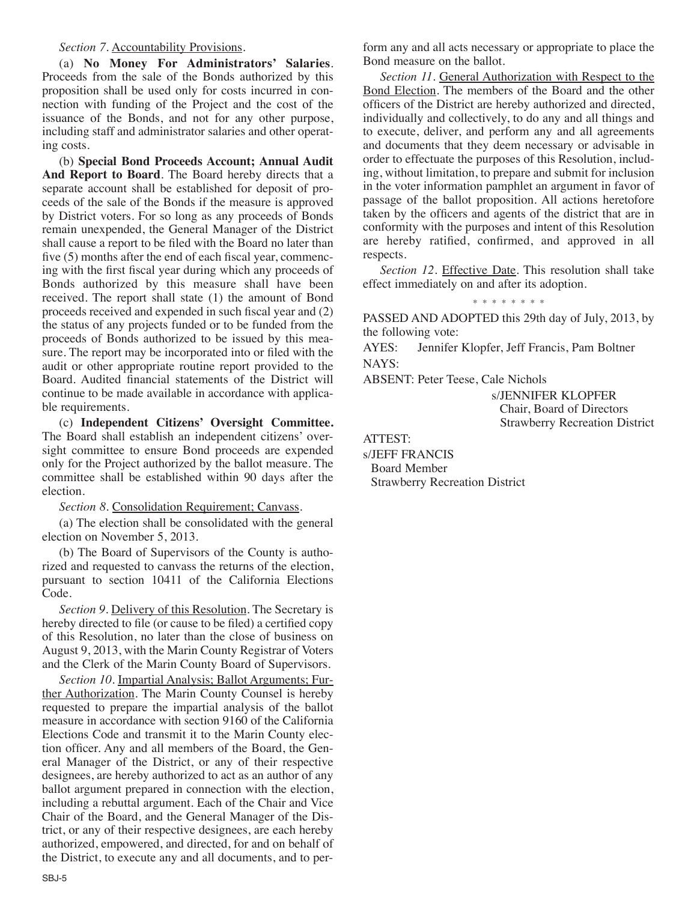#### *Section 7.* Accountability Provisions.

 (a) **No Money For Administrators' Salaries**. Proceeds from the sale of the Bonds authorized by this proposition shall be used only for costs incurred in connection with funding of the Project and the cost of the issuance of the Bonds, and not for any other purpose, including staff and administrator salaries and other operating costs.

 (b) **Special Bond Proceeds Account; Annual Audit And Report to Board**. The Board hereby directs that a separate account shall be established for deposit of proceeds of the sale of the Bonds if the measure is approved by District voters. For so long as any proceeds of Bonds remain unexpended, the General Manager of the District shall cause a report to be filed with the Board no later than five (5) months after the end of each fiscal year, commencing with the first fiscal year during which any proceeds of Bonds authorized by this measure shall have been received. The report shall state (1) the amount of Bond proceeds received and expended in such fiscal year and (2) the status of any projects funded or to be funded from the proceeds of Bonds authorized to be issued by this measure. The report may be incorporated into or filed with the audit or other appropriate routine report provided to the Board. Audited financial statements of the District will continue to be made available in accordance with applicable requirements.

 (c) **Independent Citizens' Oversight Committee.** The Board shall establish an independent citizens' oversight committee to ensure Bond proceeds are expended only for the Project authorized by the ballot measure. The committee shall be established within 90 days after the election.

*Section 8.* Consolidation Requirement; Canvass.

 (a) The election shall be consolidated with the general election on November 5, 2013.

 (b) The Board of Supervisors of the County is authorized and requested to canvass the returns of the election, pursuant to section 10411 of the California Elections Code.

 *Section 9*. Delivery of this Resolution. The Secretary is hereby directed to file (or cause to be filed) a certified copy of this Resolution, no later than the close of business on August 9, 2013, with the Marin County Registrar of Voters and the Clerk of the Marin County Board of Supervisors.

 *Section 10.* Impartial Analysis; Ballot Arguments; Further Authorization. The Marin County Counsel is hereby requested to prepare the impartial analysis of the ballot measure in accordance with section 9160 of the California Elections Code and transmit it to the Marin County election officer. Any and all members of the Board, the General Manager of the District, or any of their respective designees, are hereby authorized to act as an author of any ballot argument prepared in connection with the election, including a rebuttal argument. Each of the Chair and Vice Chair of the Board, and the General Manager of the District, or any of their respective designees, are each hereby authorized, empowered, and directed, for and on behalf of the District, to execute any and all documents, and to perform any and all acts necessary or appropriate to place the Bond measure on the ballot.

 *Section 11.* General Authorization with Respect to the Bond Election. The members of the Board and the other officers of the District are hereby authorized and directed, individually and collectively, to do any and all things and to execute, deliver, and perform any and all agreements and documents that they deem necessary or advisable in order to effectuate the purposes of this Resolution, including, without limitation, to prepare and submit for inclusion in the voter information pamphlet an argument in favor of passage of the ballot proposition. All actions heretofore taken by the officers and agents of the district that are in conformity with the purposes and intent of this Resolution are hereby ratified, confirmed, and approved in all respects.

 *Section 12.* Effective Date. This resolution shall take effect immediately on and after its adoption.

\* \* \* \* \* \* \* \*

PASSED AND ADOPTED this 29th day of July, 2013, by the following vote:

AYES: Jennifer Klopfer, Jeff Francis, Pam Boltner NAYS:

ABSENT: Peter Teese, Cale Nichols

s/JENNIFER KLOPFER Chair, Board of Directors Strawberry Recreation District

ATTEST:

s/JEFF FRANCIS Board Member Strawberry Recreation District